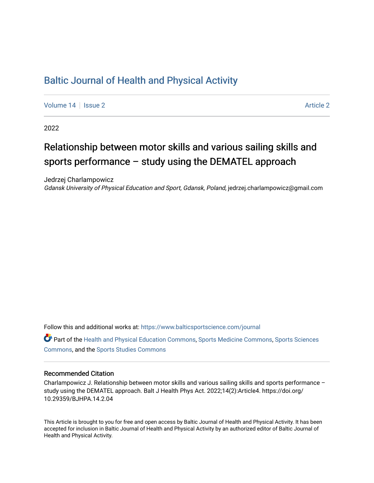## [Baltic Journal of Health and Physical Activity](https://www.balticsportscience.com/journal)

[Volume 14](https://www.balticsportscience.com/journal/vol14) | [Issue 2](https://www.balticsportscience.com/journal/vol14/iss2) [Article 2](https://www.balticsportscience.com/journal/vol14/iss2/2) Article 2 Article 2 Article 2 Article 2 Article 2 Article 2 Article 2 Article 2

2022

# Relationship between motor skills and various sailing skills and sports performance – study using the DEMATEL approach

Jedrzej Charlampowicz Gdansk University of Physical Education and Sport, Gdansk, Poland, jedrzej.charlampowicz@gmail.com

Follow this and additional works at: [https://www.balticsportscience.com/journal](https://www.balticsportscience.com/journal?utm_source=www.balticsportscience.com%2Fjournal%2Fvol14%2Fiss2%2F2&utm_medium=PDF&utm_campaign=PDFCoverPages) 

Part of the [Health and Physical Education Commons](https://network.bepress.com/hgg/discipline/1327?utm_source=www.balticsportscience.com%2Fjournal%2Fvol14%2Fiss2%2F2&utm_medium=PDF&utm_campaign=PDFCoverPages), [Sports Medicine Commons,](https://network.bepress.com/hgg/discipline/1331?utm_source=www.balticsportscience.com%2Fjournal%2Fvol14%2Fiss2%2F2&utm_medium=PDF&utm_campaign=PDFCoverPages) [Sports Sciences](https://network.bepress.com/hgg/discipline/759?utm_source=www.balticsportscience.com%2Fjournal%2Fvol14%2Fiss2%2F2&utm_medium=PDF&utm_campaign=PDFCoverPages) [Commons](https://network.bepress.com/hgg/discipline/759?utm_source=www.balticsportscience.com%2Fjournal%2Fvol14%2Fiss2%2F2&utm_medium=PDF&utm_campaign=PDFCoverPages), and the [Sports Studies Commons](https://network.bepress.com/hgg/discipline/1198?utm_source=www.balticsportscience.com%2Fjournal%2Fvol14%2Fiss2%2F2&utm_medium=PDF&utm_campaign=PDFCoverPages) 

### Recommended Citation

Charlampowicz J. Relationship between motor skills and various sailing skills and sports performance – study using the DEMATEL approach. Balt J Health Phys Act. 2022;14(2):Article4. https://doi.org/ 10.29359/BJHPA.14.2.04

This Article is brought to you for free and open access by Baltic Journal of Health and Physical Activity. It has been accepted for inclusion in Baltic Journal of Health and Physical Activity by an authorized editor of Baltic Journal of Health and Physical Activity.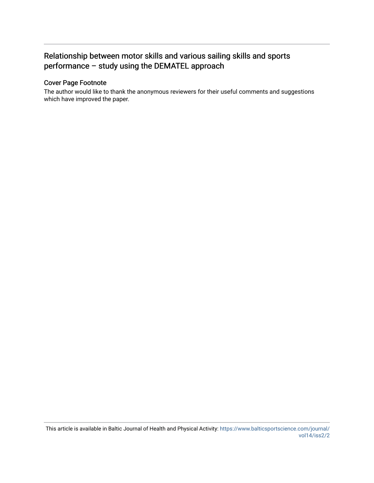## Relationship between motor skills and various sailing skills and sports performance – study using the DEMATEL approach

## Cover Page Footnote

The author would like to thank the anonymous reviewers for their useful comments and suggestions which have improved the paper.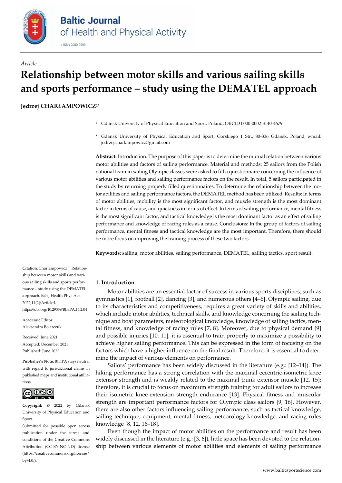

# *Article* **Relationship between motor skills and various sailing skills and sports performance – study using the DEMATEL approach**

**Jędrzej CHARŁAMPOWICZ1\***

- <sup>1</sup> Gdansk University of Physical Education and Sport, Poland, ORCID [0000-0002-3140-4679](https://orcid.org/0000-0002-3140-4679)
- \* Gdansk University of Physical Education and Sport, Gorskiego 1 Str., 80-336 Gdansk, Poland; e-mail: jedrzej.charlampowicz@gmail.com

**Abstract:** Introduction. The purpose of this paper is to determine the mutual relation between various motor abilities and factors of sailing performance. Material and methods: 25 sailors from the Polish national team in sailing Olympic classes were asked to fill a questionnaire concerning the influence of various motor abilities and sailing performance factors on the result. In total, 5 sailors participated in the study by returning properly filled questionnaires. To determine the relationship between the motor abilities and sailing performance factors, the DEMATEL method has been utilized. Results: In terms of motor abilities, mobility is the most significant factor, and muscle strength is the most dominant factor in terms of cause, and quickness in terms of effect. In terms of sailing performance, mental fitness is the most significant factor, and tactical knowledge is the most dominant factor as an effect of sailing performance and knowledge of racing rules as a cause. Conclusions: In the group of factors of sailing performance, mental fitness and tactical knowledge are the most important. Therefore, there should be more focus on improving the training process of these two factors.

**Keywords:** sailing, motor abilities, sailing performance, DEMATEL, sailing tactics, sport result.

#### ship between motor skills and various sailing skills and sports performance – study using the DEMATEL approach. Balt J Health Phys Act. 2022;14(2):Article4.

**Citation:** Charlampowicz J. Relation-

https://doi.org/10.29359/BJHPA.14.2.04

Academic Editor: Aleksandra Bojarczuk

Received: June 2021 Accepted: December 2021 Published: June 2022

**Publisher's Note:** BJHPA stays neutral with regard to jurisdictional claims in published maps and institutional affiliations.



**Copyright:** © 2022 by Gdansk University of Physical Education and Sport.

Submitted for possible open access publication under the terms and conditions of the Creative Commons Attribution (CC-BY-NC-ND) license (https://creativecommons.org/licenses/ by/4.0/).

#### **1. Introduction**

Motor abilities are an essential factor of success in various sports disciplines, such as gymnastics [1], football [2], dancing [3], and numerous others [4–6]. Olympic sailing, due to its characteristics and competitiveness, requires a great variety of skills and abilities, which include motor abilities, technical skills, and knowledge concerning the sailing technique and boat parameters, meteorological knowledge, knowledge of sailing tactics, mental fitness, and knowledge of racing rules [7, 8]. Moreover, due to physical demand [9] and possible injuries [10, 11], it is essential to train properly to maximize a possibility to achieve higher sailing performance. This can be expressed in the form of focusing on the factors which have a higher influence on the final result. Therefore, it is essential to determine the impact of various elements on performance.

Sailors' performance has been widely discussed in the literature (e.g.: [12–14]). The hiking performance has a strong correlation with the maximal eccentric-isometric knee extensor strength and is weakly related to the maximal trunk extensor muscle [12, 15]; therefore, it is crucial to focus on maximum strength training for adult sailors to increase their isometric knee-extension strength endurance [13]. Physical fitness and muscular strength are important performance factors for Olympic class sailors [9, 16]. However, there are also other factors influencing sailing performance, such as tactical knowledge, sailing technique, equipment, mental fitness, meteorology knowledge, and racing rules knowledge [8, 12, 16–18].

Even though the impact of motor abilities on the performance and result has been widely discussed in the literature (e.g.:  $[3, 6]$ ), little space has been devoted to the relationship between various elements of motor abilities and elements of sailing performance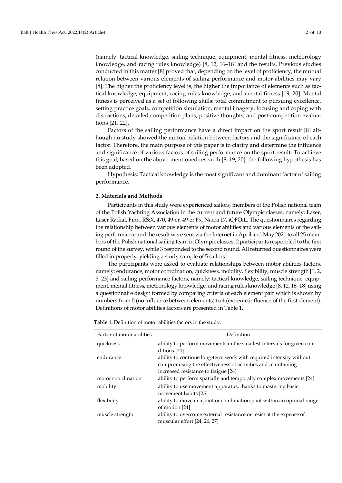(namely: tactical knowledge, sailing technique, equipment, mental fitness, meteorology knowledge, and racing rules knowledge) [8, 12, 16–18] and the results. Previous studies conducted in this matter [8] proved that, depending on the level of proficiency, the mutual relation between various elements of sailing performance and motor abilities may vary [8]. The higher the proficiency level is, the higher the importance of elements such as tactical knowledge, equipment, racing rules knowledge, and mental fitness [19, 20]. Mental fitness is perceived as a set of following skills: total commitment to pursuing excellence, setting practice goals, competition simulation, mental imagery, focusing and coping with distractions, detailed competition plans, positive thoughts, and post-competition evaluations [21, 22].

Factors of the sailing performance have a direct impact on the sport result [8] although no study showed the mutual relation between factors and the significance of each factor. Therefore, the main purpose of this paper is to clarify and determine the influence and significance of various factors of sailing performance on the sport result. To achieve this goal, based on the above-mentioned research [8, 19, 20], the following hypothesis has been adopted.

Hypothesis: Tactical knowledge is the most significant and dominant factor of sailing performance.

#### **2. Materials and Methods**

Participants in this study were experienced sailors, members of the Polish national team of the Polish Yachting Association in the current and future Olympic classes, namely: Laser, Laser Radial, Finn, RS:X, 470, 49-er, 49-er Fx, Nacra 17, iQFOiL. The questionnaires regarding the relationship between various elements of motor abilities and various elements of the sailing performance and the result were sent via the Internet in April and May 2021 to all 25 members of the Polish national sailing team in Olympic classes. 2 participants responded to the first round of the survey, while 3 responded to the second round. All returned questionnaires were filled in properly, yielding a study sample of 5 sailors.

The participants were asked to evaluate relationships between motor abilities factors, namely: endurance, motor coordination, quickness, mobility, flexibility, muscle strength [1, 2, 5, 23] and sailing performance factors, namely: tactical knowledge, sailing technique, equipment, mental fitness, meteorology knowledge, and racing rules knowledge [8, 12, 16–18] using a questionnaire design formed by comparing criteria of each element pair which is shown by numbers from 0 (no influence between elements) to 4 (extreme influence of the first element). Definitions of motor abilities factors are presented in Table 1.

| Factor of motor abilities | Definition                                                              |
|---------------------------|-------------------------------------------------------------------------|
| quickness                 | ability to perform movements in the smallest intervals for given con-   |
|                           | ditions [24]                                                            |
| endurance                 | ability to continue long-term work with required intensity without      |
|                           | compromising the effectiveness of activities and maintaining            |
|                           | increased resistance to fatigue [24]                                    |
| motor coordination        | ability to perform spatially and temporally complex movements [24]      |
| mobility                  | ability to use movement apparatus, thanks to mastering basic            |
|                           | movement habits [25]                                                    |
| flexibility               | ability to move in a joint or combination-joint within an optimal range |
|                           | of motion [24]                                                          |
| muscle strength           | ability to overcome external resistance or resist at the expense of     |
|                           | muscular effort [24, 26, 27]                                            |

**Table 1.** Definition of motor abilities factors in the study.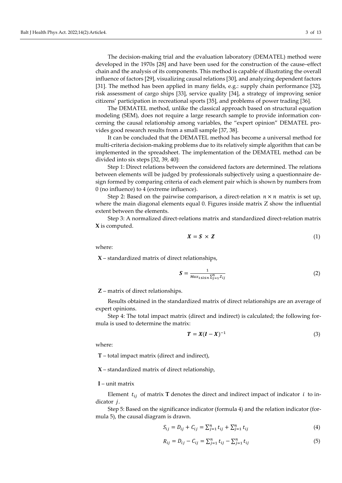The decision-making trial and the evaluation laboratory (DEMATEL) method were developed in the 1970s [28] and have been used for the construction of the cause–effect chain and the analysis of its components. This method is capable of illustrating the overall influence of factors [29], visualizing causal relations [30], and analyzing dependent factors [31]. The method has been applied in many fields, e.g.: supply chain performance [32], risk assessment of cargo ships [33], service quality [34], a strategy of improving senior citizens' participation in recreational sports [35], and problems of power trading [36].

The DEMATEL method, unlike the classical approach based on structural equation modeling (SEM), does not require a large research sample to provide information concerning the causal relationship among variables, the "expert opinion" DEMATEL provides good research results from a small sample [37, 38].

It can be concluded that the DEMATEL method has become a universal method for multi-criteria decision-making problems due to its relatively simple algorithm that can be implemented in the spreadsheet. The implementation of the DEMATEL method can be divided into six steps [32, 39, 40]:

Step 1: Direct relations between the considered factors are determined. The relations between elements will be judged by professionals subjectively using a questionnaire design formed by comparing criteria of each element pair which is shown by numbers from 0 (no influence) to 4 (extreme influence).

Step 2: Based on the pairwise comparison, a direct-relation  $n \times n$  matrix is set up, where the main diagonal elements equal 0. Figures inside matrix Z show the influential extent between the elements.

Step 3: A normalized direct-relations matrix and standardized direct-relation matrix **X** is computed.

$$
X = S \times Z \tag{1}
$$

where:

**X** – standardized matrix of direct relationships,

$$
S = \frac{1}{\text{Max}_{1 \le i \le n} \sum_{j=1}^{n} Z_{ij}} \tag{2}
$$

**Z** – matrix of direct relationships.

Results obtained in the standardized matrix of direct relationships are an average of expert opinions.

Step 4: The total impact matrix (direct and indirect) is calculated; the following formula is used to determine the matrix:

$$
T = X(I - X)^{-1} \tag{3}
$$

where:

**T** – total impact matrix (direct and indirect),

**X** – standardized matrix of direct relationship,

#### **I** – unit matrix

Element  $t_{ij}$  of matrix **T** denotes the direct and indirect impact of indicator *i* to indicator *j*.

Step 5: Based on the significance indicator (formula 4) and the relation indicator (formula 5), the causal diagram is drawn.

$$
S_{ij} = D_{ij} + C_{ij} = \sum_{j=1}^{n} t_{ij} + \sum_{j=1}^{n} t_{ij}
$$
 (4)

$$
R_{ij} = D_{ij} - C_{ij} = \sum_{j=1}^{n} t_{ij} - \sum_{j=1}^{n} t_{ij}
$$
 (5)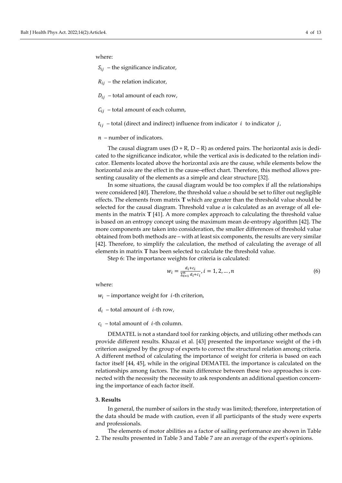where:

 $S_{ij}$  – the significance indicator,

 $R_{ij}$  – the relation indicator,

 $D_{ij}$  – total amount of each row,

 $C_{ii}$  – total amount of each column,

 $t_{ij}$  – total (direct and indirect) influence from indicator *i* to indicator *j*,

#### $n$  – number of indicators.

The causal diagram uses  $(D + R, D - R)$  as ordered pairs. The horizontal axis is dedicated to the significance indicator, while the vertical axis is dedicated to the relation indicator. Elements located above the horizontal axis are the cause, while elements below the horizontal axis are the effect in the cause–effect chart. Therefore, this method allows presenting causality of the elements as a simple and clear structure [32].

In some situations, the causal diagram would be too complex if all the relationships were considered [40]. Therefore, the threshold value  $\alpha$  should be set to filter out negligible effects. The elements from matrix **T** which are greater than the threshold value should be selected for the causal diagram. Threshold value  $\alpha$  is calculated as an average of all elements in the matrix **T** [41]. A more complex approach to calculating the threshold value is based on an entropy concept using the maximum mean de-entropy algorithm [42]. The more components are taken into consideration, the smaller differences of threshold value obtained from both methods are – with at least six components, the results are very similar [42]. Therefore, to simplify the calculation, the method of calculating the average of all elements in matrix **T** has been selected to calculate the threshold value.

Step 6: The importance weights for criteria is calculated:

$$
w_i = \frac{d_i + c_i}{\sum_{i=1}^n d_i + c_i}, i = 1, 2, ..., n
$$
\n(6)

where:

 $w_i$  – importance weight for *i*-th criterion,

 $d_i$  – total amount of *i*-th row,

 $c_i$  – total amount of *i*-th column.

DEMATEL is not a standard tool for ranking objects, and utilizing other methods can provide different results. Khazai et al. [43] presented the importance weight of the i-th criterion assigned by the group of experts to correct the structural relation among criteria. A different method of calculating the importance of weight for criteria is based on each factor itself [44, 45], while in the original DEMATEL the importance is calculated on the relationships among factors. The main difference between these two approaches is connected with the necessity the necessity to ask respondents an additional question concerning the importance of each factor itself.

#### **3. Results**

In general, the number of sailors in the study was limited; therefore, interpretation of the data should be made with caution, even if all participants of the study were experts and professionals.

The elements of motor abilities as a factor of sailing performance are shown in Table 2. The results presented in Table 3 and Table 7 are an average of the expert's opinions.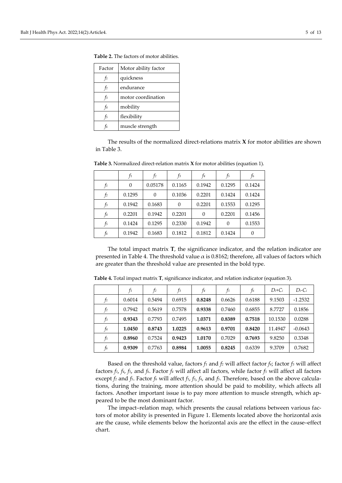| Factor         | Motor ability factor |
|----------------|----------------------|
| $f_1$          | quickness            |
| $\dot{I}^2$    | endurance            |
| $f_3$          | motor coordination   |
| f4             | mobility             |
| f <sub>5</sub> | flexibility          |
| t6             | muscle strength      |

**Table 2.** The factors of motor abilities.

The results of the normalized direct-relations matrix **X** for motor abilities are shown in Table 3.

|    | $f_1$    | f2       | $f_3$  | f4       | f5       | f6     |
|----|----------|----------|--------|----------|----------|--------|
| fı | $\Omega$ | 0.05178  | 0.1165 | 0.1942   | 0.1295   | 0.1424 |
| f2 | 0.1295   | $\theta$ | 0.1036 | 0.2201   | 0.1424   | 0.1424 |
| f3 | 0.1942   | 0.1683   | 0      | 0.2201   | 0.1553   | 0.1295 |
| f4 | 0.2201   | 0.1942   | 0.2201 | $\Omega$ | 0.2201   | 0.1456 |
| f5 | 0.1424   | 0.1295   | 0.2330 | 0.1942   | $\Omega$ | 0.1553 |
| f6 | 0.1942   | 0.1683   | 0.1812 | 0.1812   | 0.1424   |        |

**Table 3.** Normalized direct-relation matrix **X** for motor abilities (equation 1).

The total impact matrix **T**, the significance indicator, and the relation indicator are presented in Table 4. The threshold value  $\alpha$  is 0.8162; therefore, all values of factors which are greater than the threshold value are presented in the bold type.

|       | fı     | f <sub>2</sub> | fз     | f4     | f5     | f6     | $D_i+C_i$ | $D_i$ -Ci |
|-------|--------|----------------|--------|--------|--------|--------|-----------|-----------|
| $f_1$ | 0.6014 | 0.5494         | 0.6915 | 0.8248 | 0.6626 | 0.6188 | 9.1503    | $-1.2532$ |
| f2    | 0.7942 | 0.5619         | 0.7578 | 0.9338 | 0.7460 | 0.6855 | 8.7727    | 0.1856    |
| f3    | 0.9343 | 0.7793         | 0.7495 | 1.0371 | 0.8389 | 0.7518 | 10.1530   | 0.0288    |
| f4    | 1.0450 | 0.8743         | 1.0225 | 0.9613 | 0.9701 | 0.8420 | 11.4947   | $-0.0643$ |
| f5    | 0.8960 | 0.7524         | 0.9423 | 1.0170 | 0.7029 | 0.7693 | 9.8250    | 0.3348    |
| f6    | 0.9309 | 0.7763         | 0.8984 | 1.0055 | 0.8245 | 0.6339 | 9.3709    | 0.7682    |

**Table 4.** Total impact matrix **T**, significance indicator, and relation indicator (equation 3).

Based on the threshold value, factors  $f_1$  and  $f_2$  will affect factor  $f_4$ ; factor  $f_3$  will affect factors  $f_1$ ,  $f_4$ ,  $f_5$ , and  $f_6$ . Factor  $f_4$  will affect all factors, while factor  $f_5$  will affect all factors except *f2* and *f5*. Factor *f6* will affect *f1*, *f3*, *f4*, and *f5*. Therefore, based on the above calculations, during the training, more attention should be paid to mobility, which affects all factors. Another important issue is to pay more attention to muscle strength, which appeared to be the most dominant factor.

The impact–relation map, which presents the causal relations between various factors of motor ability is presented in Figure 1. Elements located above the horizontal axis are the cause, while elements below the horizontal axis are the effect in the cause–effect chart.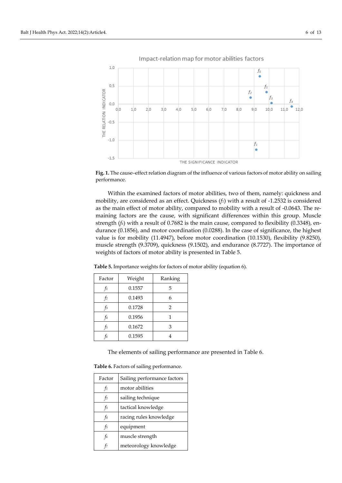

Impact-relation map for motor abilities factors

**Fig. 1.** The cause–effect relation diagram of the influence of various factors of motor ability on sailing performance.

Within the examined factors of motor abilities, two of them, namely: quickness and mobility, are considered as an effect. Quickness (*f1*) with a result of -1.2532 is considered as the main effect of motor ability, compared to mobility with a result of -0.0643. The remaining factors are the cause, with significant differences within this group. Muscle strength (*f6*) with a result of 0.7682 is the main cause, compared to flexibility (0.3348), endurance (0.1856), and motor coordination (0.0288). In the case of significance, the highest value is for mobility (11.4947), before motor coordination (10.1530), flexibility (9.8250), muscle strength (9.3709), quickness (9.1502), and endurance (8.7727). The importance of weights of factors of motor ability is presented in Table 5.

**Table 5.** Importance weights for factors of motor ability (equation 6).

| Factor | Weight | Ranking        |
|--------|--------|----------------|
|        | 0.1557 | 5              |
| t2     | 0.1493 | 6              |
| t3     | 0.1728 | $\overline{2}$ |
| f4     | 0.1956 |                |
| f5     | 0.1672 | 3              |
| t6     | 0.1595 |                |

The elements of sailing performance are presented in Table 6.

**Table 6.** Factors of sailing performance.

| Factor         | Sailing performance factors |
|----------------|-----------------------------|
| $f_1$          | motor abilities             |
| f <sub>2</sub> | sailing technique           |
| $f_3$          | tactical knowledge          |
| f4             | racing rules knowledge      |
| f5             | equipment                   |
| f6             | muscle strength             |
|                | meteorology knowledge       |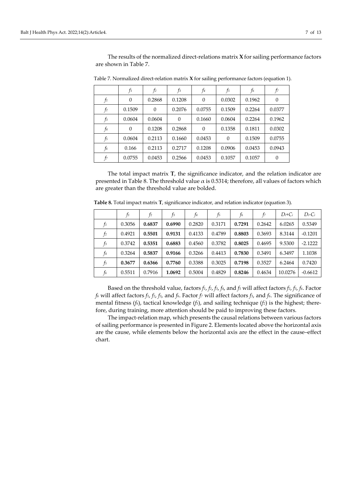|       | fı       | f2       | f3       | f4       | f5       | f6     | f7       |
|-------|----------|----------|----------|----------|----------|--------|----------|
| fı    | $\theta$ | 0.2868   | 0.1208   | $\theta$ | 0.0302   | 0.1962 | $\theta$ |
| $f_2$ | 0.1509   | $\theta$ | 0.2076   | 0.0755   | 0.1509   | 0.2264 | 0.0377   |
| $f_3$ | 0.0604   | 0.0604   | $\Omega$ | 0.1660   | 0.0604   | 0.2264 | 0.1962   |
| $f_4$ | $\theta$ | 0.1208   | 0.2868   | $\theta$ | 0.1358   | 0.1811 | 0.0302   |
| $f_5$ | 0.0604   | 0.2113   | 0.1660   | 0.0453   | $\Omega$ | 0.1509 | 0.0755   |
| f6    | 0.166    | 0.2113   | 0.2717   | 0.1208   | 0.0906   | 0.0453 | 0.0943   |
| f7    | 0.0755   | 0.0453   | 0.2566   | 0.0453   | 0.1057   | 0.1057 | $\Omega$ |

Table 7. Normalized direct-relation matrix **X** for sailing performance factors (equation 1).

The total impact matrix **T**, the significance indicator, and the relation indicator are presented in Table 8. The threshold value  $\alpha$  is 0.5314; therefore, all values of factors which are greater than the threshold value are bolded.

|       | $f_1$  | f <sub>2</sub> | $f_3$  | f4     | f <sub>5</sub> | f6     | f7     | $D_i+C_i$ | $D_i$ -Ci |
|-------|--------|----------------|--------|--------|----------------|--------|--------|-----------|-----------|
| f1    | 0.3056 | 0.6837         | 0.6990 | 0.2820 | 0.3171         | 0.7291 | 0.2642 | 6.0265    | 0.5349    |
| f2    | 0.4921 | 0.5501         | 0.9131 | 0.4133 | 0.4789         | 0.8803 | 0.3693 | 8.3144    | $-0.1201$ |
| $f_3$ | 0.3742 | 0.5351         | 0.6883 | 0.4560 | 0.3782         | 0.8025 | 0.4695 | 9.5300    | $-2.1222$ |
| f4    | 0.3264 | 0.5837         | 0.9166 | 0.3266 | 0.4413         | 0.7830 | 0.3491 | 6.3497    | 1.1038    |
| f5    | 0.3677 | 0.6366         | 0.7760 | 0.3388 | 0.3025         | 0.7198 | 0.3527 | 6.2464    | 0.7420    |
| f6    | 0.5511 | 0.7916         | 1.0692 | 0.5004 | 0.4829         | 0.8246 | 0.4634 | 10.0276   | $-0.6612$ |

**Table 8.** Total impact matrix **T**, significance indicator, and relation indicator (equation 3).

Based on the threshold value, factors *f1*, *f2*, *f3*, *f4*, and *f5* will affect factors *f2*, *f3*, *f6*. Factor *f6* will affect factors *f1*, *f2*, *f3*, and *f6*. Factor *f7* will affect factors *f3*, and *f6*. The significance of mental fitness (*f6*), tactical knowledge (*f3*), and sailing technique (*f2*) is the highest; therefore, during training, more attention should be paid to improving these factors.

The impact-relation map, which presents the causal relations between various factors of sailing performance is presented in Figure 2. Elements located above the horizontal axis are the cause, while elements below the horizontal axis are the effect in the cause–effect chart.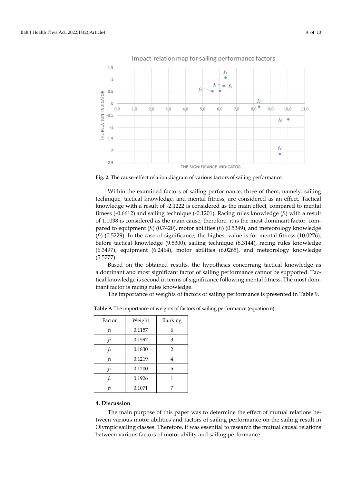

Impact-relation map for sailing performance factors

**Fig. 2.** The cause–effect relation diagram of various factors of sailing performance.

Within the examined factors of sailing performance, three of them, namely: sailing technique, tactical knowledge, and mental fitness, are considered as an effect. Tactical knowledge with a result of -2.1222 is considered as the main effect, compared to mental fitness (-0.6612) and sailing technique (-0.1201). Racing rules knowledge (*f4*) with a result of 1.1038 is considered as the main cause; therefore, it is the most dominant factor, compared to equipment ( $f_5$ ) (0.7420), motor abilities ( $f_1$ ) (0.5349), and meteorology knowledge  $(f)$  (0.5229). In the case of significance, the highest value is for mental fitness (10.0276), before tactical knowledge (9.5300), sailing technique (8.3144), racing rules knowledge (6.3497), equipment (6.2464), motor abilities (6.0265), and meteorology knowledge (5.5777).

Based on the obtained results, the hypothesis concerning tactical knowledge as a dominant and most significant factor of sailing performance cannot be supported. Tactical knowledge is second in terms of significance following mental fitness. The most dominant factor is racing rules knowledge.

The importance of weights of factors of sailing performance is presented in Table 9.

| Factor | Weight | Ranking        |
|--------|--------|----------------|
| fı     | 0.1157 | 6              |
| t2     | 0.1597 | 3              |
| f3     | 0.1830 | $\overline{2}$ |
| f4     | 0.1219 | 4              |
| f5     | 0.1200 | 5              |
| f6     | 0.1926 | 1              |
|        | 0.1071 | 7              |

**Table 9.** The importance of weights of factors of sailing performance (equation 6).

### **4. Discussion**

The main purpose of this paper was to determine the effect of mutual relations between various motor abilities and factors of sailing performance on the sailing result in Olympic sailing classes. Therefore, it was essential to research the mutual causal relations between various factors of motor ability and sailing performance.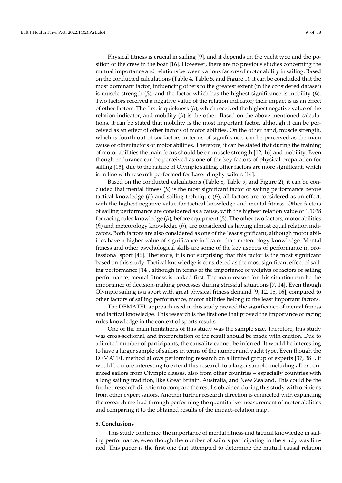Physical fitness is crucial in sailing [9], and it depends on the yacht type and the position of the crew in the boat [16]. However, there are no previous studies concerning the mutual importance and relations between various factors of motor ability in sailing. Based on the conducted calculations (Table 4, Table 5, and Figure 1), it can be concluded that the most dominant factor, influencing others to the greatest extent (in the considered dataset) is muscle strength (*f6*), and the factor which has the highest significance is mobility (*f4*). Two factors received a negative value of the relation indicator; their impact is as an effect of other factors. The first is quickness (*f1*), which received the highest negative value of the relation indicator, and mobility  $(f_4)$  is the other. Based on the above-mentioned calculations, it can be stated that mobility is the most important factor, although it can be perceived as an effect of other factors of motor abilities. On the other hand, muscle strength, which is fourth out of six factors in terms of significance, can be perceived as the main cause of other factors of motor abilities. Therefore, it can be stated that during the training of motor abilities the main focus should be on muscle strength [12, 16] and mobility. Even though endurance can be perceived as one of the key factors of physical preparation for sailing [15], due to the nature of Olympic sailing, other factors are more significant, which is in line with research performed for Laser dinghy sailors [14].

Based on the conducted calculations (Table 8, Table 9, and Figure 2), it can be concluded that mental fitness (*f6*) is the most significant factor of sailing performance before tactical knowledge (*f3*) and sailing technique (*f2*); all factors are considered as an effect, with the highest negative value for tactical knowledge and mental fitness. Other factors of sailing performance are considered as a cause, with the highest relation value of 1.1038 for racing rules knowledge (*f4*), before equipment (*f5*). The other two factors, motor abilities (*f1*) and meteorology knowledge (*f7*), are considered as having almost equal relation indicators. Both factors are also considered as one of the least significant, although motor abilities have a higher value of significance indicator than meteorology knowledge. Mental fitness and other psychological skills are some of the key aspects of performance in professional sport [46]. Therefore, it is not surprising that this factor is the most significant based on this study. Tactical knowledge is considered as the most significant effect of sailing performance [14], although in terms of the importance of weights of factors of sailing performance, mental fitness is ranked first. The main reason for this situation can be the importance of decision-making processes during stressful situations [7, 14]. Even though Olympic sailing is a sport with great physical fitness demand [9, 12, 15, 16], compared to other factors of sailing performance, motor abilities belong to the least important factors.

The DEMATEL approach used in this study proved the significance of mental fitness and tactical knowledge. This research is the first one that proved the importance of racing rules knowledge in the context of sports results.

One of the main limitations of this study was the sample size. Therefore, this study was cross-sectional, and interpretation of the result should be made with caution. Due to a limited number of participants, the causality cannot be inferred. It would be interesting to have a larger sample of sailors in terms of the number and yacht type. Even though the DEMATEL method allows performing research on a limited group of experts [37, 38 ], it would be more interesting to extend this research to a larger sample, including all experienced sailors from Olympic classes, also from other countries – especially countries with a long sailing tradition, like Great Britain, Australia, and New Zealand. This could be the further research direction to compare the results obtained during this study with opinions from other expert sailors. Another further research direction is connected with expanding the research method through performing the quantitative measurement of motor abilities and comparing it to the obtained results of the impact–relation map.

#### **5. Conclusions**

This study confirmed the importance of mental fitness and tactical knowledge in sailing performance, even though the number of sailors participating in the study was limited. This paper is the first one that attempted to determine the mutual causal relation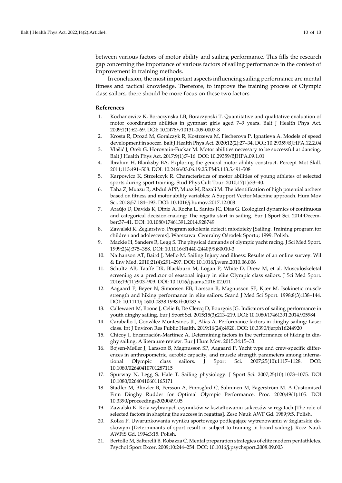between various factors of motor ability and sailing performance. This fills the research gap concerning the importance of various factors of sailing performance in the context of improvement in training methods.

In conclusion, the most important aspects influencing sailing performance are mental fitness and tactical knowledge. Therefore, to improve the training process of Olympic class sailors, there should be more focus on these two factors.

#### **References**

- 1. Kochanowicz K, Boraczynska LB, Boraczynski T. Quantitative and qualitative evaluation of motor coordination abilities in gymnast girls aged 7–9 years. Balt J Health Phys Act. 2009;1(1):62–69. DOI: [10.2478/v10131-009-0007-8](https://doi.org/10.2478/v10131-009-0007-8)
- 2. Krosta R, Drozd M, Goralczyk R, Kostrzewa M, Fischerova P, Ignatieva A. Models of speed development in soccer. Balt J Health Phys Act. 2020;12(2):27–34. DOI[: 10.29359/BJHPA.12.2.04](https://doi.org/10.29359/BJHPA.12.2.04)
- 3. Vlašić J, Oreb G, Horovatin-Fuckar M. Motor abilities necessary to be successful at dancing. Balt J Health Phys Act. 2017;9(1):7–16. DOI: [10.29359/BJHPA.09.1.01](https://doi.org/10.29359/BJHPA.09.1.01)
- 4. Ibrahim H, Blanksby BA. Exploring the general motor ability construct. Percept Mot Skill. 2011;113:491–508. DOI[: 10.2466/03.06.19.25.PMS.113.5.491-508](https://doi.org/10.2466/03.06.19.25.PMS.113.5.491-508)
- 5. Karpowicz K, Strzelczyk R. Characteristics of motor abilities of young athletes of selected sports during sport training. Stud Phys Cult Tour. 2010;17(1):33–40.
- 6. Taha Z, Muazu R, Abdul APP, Muaz M, Razali M. The identification of high potential archers based on fitness and motor ability variables: A Support Vector Machine approach. Hum Mov Sci. 2018;57:184–193. DOI: [10.1016/j.humov.2017.12.008](https://doi.org/10.1016/j.humov.2017.12.008)
- 7. Araújo D, Davids K, Diniz A, Rocha L, Santos JC, Dias G. Ecological dynamics of continuous and categorical decision-making: The regatta start in sailing. Eur J Sport Sci. 2014;December:37–41. DOI[: 10.1080/17461391.2014.928749](https://doi.org/10.1080/17461391.2014.928749)
- 8. Zawalski K. Żeglarstwo. Program szkolenia dzieci i młodzieży [Sailing. Training program for children and adolescents]. Warszawa: Centralny Ośrodek Sportu; 1999. Polish.
- 9. Mackie H, Sanders R, Legg S. The physical demands of olympic yacht racing. J Sci Med Sport. 1999;2(4):375–388. DOI: [10.1016/S1440-2440\(99\)80010-3](https://doi.org/10.1016/S1440-2440(99)80010-3)
- 10. Nathanson AT, Baird J, Mello M. Sailing Injury and illness: Results of an online survey. Wil & Env Med. 2010;21(4):291–297. DOI[: 10.1016/j.wem.2010.06.006](https://doi.org/10.1016/j.wem.2010.06.006)
- 11. Schultz AB, Taaffe DR, Blackburn M, Logan P, White D, Drew M, et al. Musculoskeletal screening as a predictor of seasonal injury in elite Olympic class sailors. J Sci Med Sport. 2016;19(11):903–909. DOI[: 10.1016/j.jsams.2016.02.011](https://doi.org/10.1016/j.jsams.2016.02.011)
- 12. Aagaard P, Beyer N, Simonsen EB, Larsson B, Magnusson SP, Kjær M. Isokinetic muscle strength and hiking performance in elite sailors. Scand J Med Sci Sport. 1998;8(3):138–144. DOI[: 10.1111/j.1600-0838.1998.tb00183.x](https://doi.org/10.1111/j.1600-0838.1998.tb00183.x)
- 13. Callewaert M, Boone J, Celie B, De Clercq D, Bourgois JG. Indicators of sailing performance in youth dinghy sailing. Eur J Sport Sci. 2015;15(3):213–219. DOI[: 10.1080/17461391.2014.905984](https://doi.org/10.1080/17461391.2014.905984)
- 14. Caraballo I, González-Montesinos JL, Alías A. Performance factors in dinghy sailing: Laser class. Int J Environ Res Public Health. 2019;16(24):4920. DOI[: 10.3390/ijerph16244920](https://doi.org/10.3390/ijerph16244920)
- 15. Chicoy I, Encarnación-Martinez A. Determining factors in the performance of hiking in dinghy sailing: A literature review. Eur J Hum Mov. 2015;34:15–33.
- 16. Bojsen-Møller J, Larsson B, Magnusson SP, Aagaard P. Yacht type and crew-specific differences in anthropometric, aerobic capacity, and muscle strength parameters among international Olympic class sailors. J Sport Sci. 2007;25(10):1117–1128. DOI: [10.1080/02640410701287115](https://doi.org/10.1080/02640410701287115)
- 17. Spurway N, Legg S, Hale T. Sailing physiology. J Sport Sci. 2007;25(10):1073–1075. DOI [10.1080/02640410601165171](https://doi.org/10.1080/02640410601165171)
- 18. Stadler M, Blinzler B, Persson A, Finnsgård C, Salminen M, Fagerström M. A Customised Finn Dinghy Rudder for Optimal Olympic Performance. Proc. 2020;49(1):105. DOI [10.3390/proceedings2020049105](https://doi.org/10.3390/proceedings2020049105)
- 19. Zawalski K. Rola wybranych czynników w kształtowaniu sukcesów w regatach [The role of selected factors in shaping the success in regattas]. Zesz Nauk AWF Gd. 1989;9:5. Polish.
- 20. Kolka P. Uwarunkowania wyniku sportowego podlegające wytrenowaniu w żeglarskie deskowym [Determinants of sport result in subject to training in board sailing]. Rocz Nauk AWFiS Gd. 1994;3:15. Polish.
- 21. Bertollo M, Salterelli B, Robazza C. Mental preparation strategies of elite modern pentathletes. Psychol Sport Excer. 2009;10:244–254. DOI: [10.1016/j.psychsport.2008.09.003](https://doi.org/10.1016/j.psychsport.2008.09.003)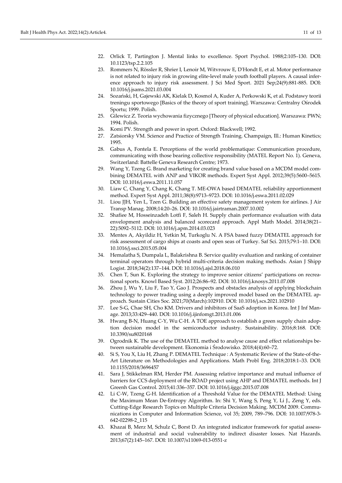- 22. Orlick T, Partington J. Mental links to excellence. Sport Psychol. 1988;2:105–130. DOI: [10.1123/tsp.2.2.105](https://doi.org/10.1123/tsp.2.2.105)
- 23. Rommers N, Rössler R, Shrier I, Lenoir M, Witvrouw E, D'Hondt E, et al. Motor performance is not related to injury risk in growing elite-level male youth football players. A causal inference approach to injury risk assessment. J Sci Med Sport. 2021 Sep;24(9):881-885. DOI: [10.1016/j.jsams.2021.03.004](https://doi.org/10.1016/j.jsams.2021.03.004)
- 24. Sozański, H, Gajewski AK, Kielak D, Kosmol A, Kuder A, Perkowski K, et al. Podstawy teorii treningu sportowego [Basics of the theory of sport training]. Warszawa: Centralny Ośrodek Sportu; 1999. Polish.
- 25. Gilewicz Z. Teoria wychowania fizycznego [Theory of physical education]. Warszawa: PWN; 1994. Polish.
- 26. Komi PV. Strength and power in sport. Oxford: Blackwell; 1992.
- 27. Zatsiorsky VM. Science and Practice of Strength Training. Champaign, Ill.: Human Kinetics; 1995.
- 28. Gabus A, Fontela E. Perceptions of the world problematique: Communication procedure, communicating with those bearing collective responsibility (MATEL Report No. 1). Geneva, Switzerland: Battelle Geneva Research Centre; 1973.
- 29. Wang Y, Tzeng G. Brand marketing for creating brand value based on a MCDM model combining DEMATEL with ANP and VIKOR methods. Expert Syst Appl. 2012;39(5):5600–5615. DOI[: 10.1016/j.eswa.2011.11.057](https://doi.org/10.1016/j.eswa.2011.11.057)
- 30. Liaw C, Chang Y, Chang K, Chang T. ME-OWA based DEMATEL reliability apportionment method. Expert Syst Appl. 2011;38(8):9713–9723. DOI: [10.1016/j.eswa.2011.02.029](https://doi.org/10.1016/j.eswa.2011.02.029)
- 31. Liou JJH, Yen L, Tzen G. Building an effective safety management system for airlines. J Air Transp Manag. 2008;14:20–26. DOI[: 10.1016/j.jairtraman.2007.10.002](https://doi.org/10.1016/j.jairtraman.2007.10.002)
- 32. Shafiee M, Hosseinzadeh Lotfi F, Saleh H. Supply chain performance evaluation with data envelopment analysis and balanced scorecard approach. Appl Math Model. 2014;38(21– 22):5092–5112. DOI: [10.1016/j.apm.2014.03.023](https://doi.org/10.1016/j.apm.2014.03.023)
- 33. Mentes A, Akyildiz H, Yetkin M, Turkoglu N. A FSA based fuzzy DEMATEL approach for risk assessment of cargo ships at coasts and open seas of Turkey. Saf Sci. 2015;79:1–10. DOI: [10.1016/j.ssci.2015.05.004](https://doi.org/10.1016/j.ssci.2015.05.004)
- 34. Hemalatha S, Dumpala L, Balakrishna B. Service quality evaluation and ranking of container terminal operators through hybrid multi-criteria decision making methods. Asian J Shipp Logist. 2018;34(2):137–144. DOI: [10.1016/j.ajsl.2018.06.010](https://doi.org/10.1016/j.ajsl.2018.06.010)
- 35. Chen T, Sun K. Exploring the strategy to improve senior citizens' participations on recreational sports. Knowl Based Syst. 2012;26:86–92. DOI: [10.1016/j.knosys.2011.07.008](https://doi.org/10.1016/j.knosys.2011.07.008)
- 36. Zhou J, Wu Y, Liu F, Tao Y, Gao J. Prospects and obstacles analysis of applying blockchain technology to power trading using a deeply improved model based on the DEMATEL approach. Sustain Cities Soc. 2021;70(March):102910. DOI: [10.1016/j.scs.2021.102910](https://doi.org/10.1016/j.scs.2021.102910)
- 37. Lee S-G, Chae SH, Cho KM. Drivers and inhibitors of SaaS adoption in Korea. Int J Inf Manage. 2013;33:429–440. DOI[: 10.1016/j.ijinfomgt.2013.01.006](https://doi.org/10.1016/j.ijinfomgt.2013.01.006)
- 38. Hwang B-N, Huang C-Y, Wu C-H. A TOE approach to establish a green supply chain adoption decision model in the semiconductor industry. Sustainability. 2016;8:168. DOI: [10.3390/su8020168](https://doi.org/10.3390/su8020168)
- 39. Ogrodnik K. The use of the DEMATEL method to analyse cause and effect relationships between sustainable development. Ekonomia i Środowisko. 2018;4(4):60–72.
- 40. Si S, You X, Liu H, Zhang P. DEMATEL Technique : A Systematic Review of the State-of-the-Art Literature on Methodologies and Applications. Math Probl Eng. 2018;2018:1–33. DOI: [10.1155/2018/3696457](https://doi.org/10.1155/2018/3696457)
- 41. Sara J, Stikkelman RM, Herder PM. Assessing relative importance and mutual influence of barriers for CCS deployment of the ROAD project using AHP and DEMATEL methods. Int J Greenh Gas Control. 2015;41:336–357. DOI[: 10.1016/j.ijggc.2015.07.008](https://doi.org/10.1016/j.ijggc.2015.07.008)
- 42. Li C-W, Tzeng G-H. Identification of a Threshold Value for the DEMATEL Method: Using the Maximum Mean De-Entropy Algorithm. In: Shi Y, Wang S, Peng Y, Li J., Zeng Y, eds. Cutting-Edge Research Topics on Multiple Criteria Decision Making. MCDM 2009. Communications in Computer and Information Science, vol 35; 2009, 789–796. DOI: [10.1007/978-3-](https://doi.org/10.1007/978-3-642-02298-2_115) [642-02298-2\\_115](https://doi.org/10.1007/978-3-642-02298-2_115)
- 43. Khazai B, Merz M, Schulz C, Borst D. An integrated indicator framework for spatial assessment of industrial and social vulnerability to indirect disaster losses. Nat Hazards. 2013;67(2):145–167. DOI[: 10.1007/s11069-013-0551-z](https://doi.org/10.1007/s11069-013-0551-z)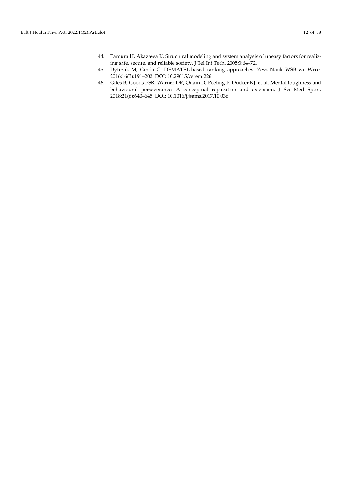- 44. Tamura H, Akazawa K. Structural modeling and system analysis of uneasy factors for realizing safe, secure, and reliable society. J Tel Inf Tech. 2005;3:64–72.
- 45. Dytczak M, Ginda G. DEMATEL-based ranking approaches. Zesz Nauk WSB we Wroc. 2016;16(3):191–202. DOI: [10.29015/cerem.226](https://doi.org/10.29015/cerem.226)
- 46. Giles B, Goods PSR, Warner DR, Quain D, Peeling P, Ducker KJ, et at. Mental toughness and behavioural perseverance: A conceptual replication and extension. J Sci Med Sport. 2018;21(6):640–645. DOI[: 10.1016/j.jsams.2017.10.036](https://doi.org/10.1016/j.jsams.2017.10.036)